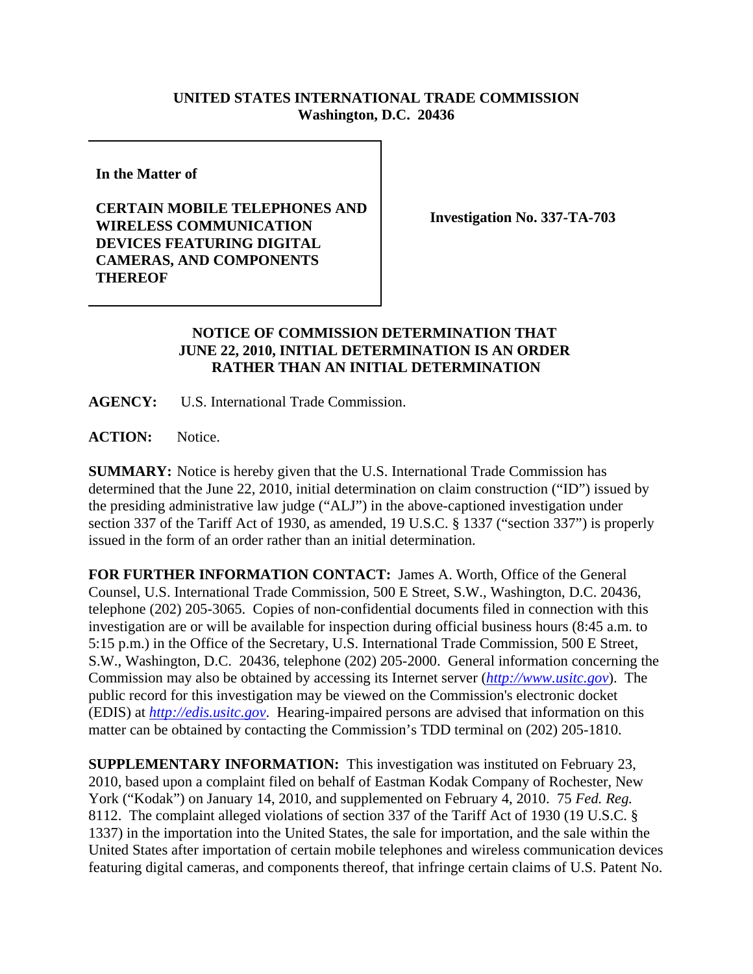## **UNITED STATES INTERNATIONAL TRADE COMMISSION Washington, D.C. 20436**

**In the Matter of** 

## **CERTAIN MOBILE TELEPHONES AND WIRELESS COMMUNICATION DEVICES FEATURING DIGITAL CAMERAS, AND COMPONENTS THEREOF**

**Investigation No. 337-TA-703**

## **NOTICE OF COMMISSION DETERMINATION THAT JUNE 22, 2010, INITIAL DETERMINATION IS AN ORDER RATHER THAN AN INITIAL DETERMINATION**

**AGENCY:** U.S. International Trade Commission.

**ACTION:** Notice.

**SUMMARY:** Notice is hereby given that the U.S. International Trade Commission has determined that the June 22, 2010, initial determination on claim construction ("ID") issued by the presiding administrative law judge ("ALJ") in the above-captioned investigation under section 337 of the Tariff Act of 1930, as amended, 19 U.S.C. § 1337 ("section 337") is properly issued in the form of an order rather than an initial determination.

**FOR FURTHER INFORMATION CONTACT:** James A. Worth, Office of the General Counsel, U.S. International Trade Commission, 500 E Street, S.W., Washington, D.C. 20436, telephone (202) 205-3065. Copies of non-confidential documents filed in connection with this investigation are or will be available for inspection during official business hours (8:45 a.m. to 5:15 p.m.) in the Office of the Secretary, U.S. International Trade Commission, 500 E Street, S.W., Washington, D.C. 20436, telephone (202) 205-2000. General information concerning the Commission may also be obtained by accessing its Internet server (*http://www.usitc.gov*). The public record for this investigation may be viewed on the Commission's electronic docket (EDIS) at *http://edis.usitc.gov*. Hearing-impaired persons are advised that information on this matter can be obtained by contacting the Commission's TDD terminal on (202) 205-1810.

**SUPPLEMENTARY INFORMATION:** This investigation was instituted on February 23, 2010, based upon a complaint filed on behalf of Eastman Kodak Company of Rochester, New York ("Kodak") on January 14, 2010, and supplemented on February 4, 2010. 75 *Fed. Reg.* 8112. The complaint alleged violations of section 337 of the Tariff Act of 1930 (19 U.S.C. § 1337) in the importation into the United States, the sale for importation, and the sale within the United States after importation of certain mobile telephones and wireless communication devices featuring digital cameras, and components thereof, that infringe certain claims of U.S. Patent No.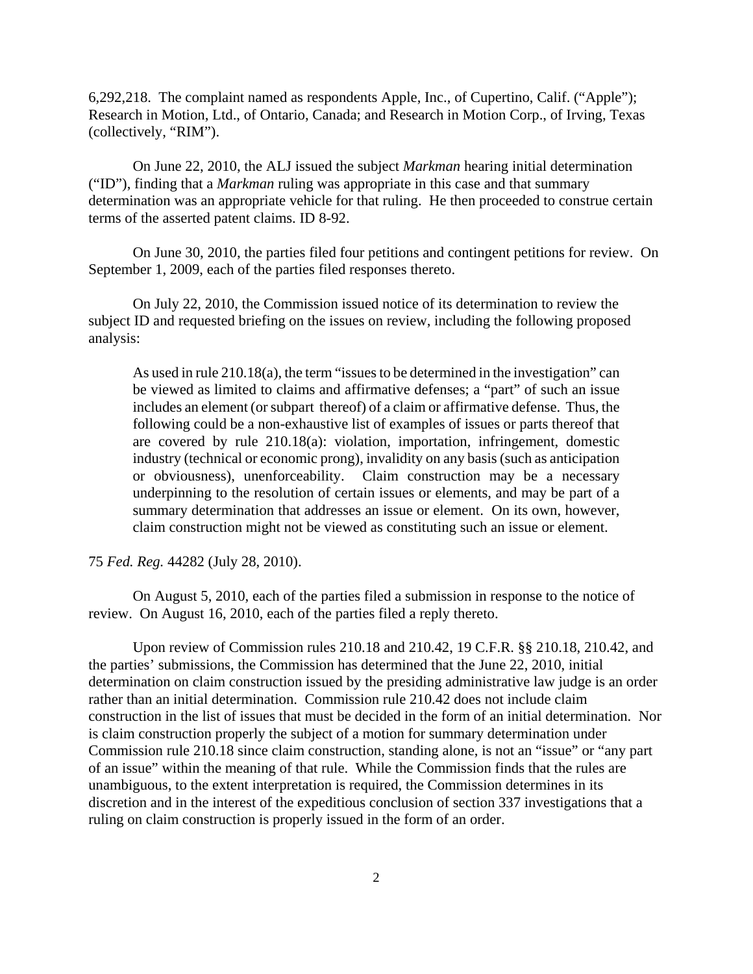6,292,218. The complaint named as respondents Apple, Inc., of Cupertino, Calif. ("Apple"); Research in Motion, Ltd., of Ontario, Canada; and Research in Motion Corp., of Irving, Texas (collectively, "RIM").

On June 22, 2010, the ALJ issued the subject *Markman* hearing initial determination ("ID"), finding that a *Markman* ruling was appropriate in this case and that summary determination was an appropriate vehicle for that ruling. He then proceeded to construe certain terms of the asserted patent claims. ID 8-92.

On June 30, 2010, the parties filed four petitions and contingent petitions for review. On September 1, 2009, each of the parties filed responses thereto.

On July 22, 2010, the Commission issued notice of its determination to review the subject ID and requested briefing on the issues on review, including the following proposed analysis:

As used in rule 210.18(a), the term "issues to be determined in the investigation" can be viewed as limited to claims and affirmative defenses; a "part" of such an issue includes an element (or subpart thereof) of a claim or affirmative defense. Thus, the following could be a non-exhaustive list of examples of issues or parts thereof that are covered by rule 210.18(a): violation, importation, infringement, domestic industry (technical or economic prong), invalidity on any basis (such as anticipation or obviousness), unenforceability. Claim construction may be a necessary underpinning to the resolution of certain issues or elements, and may be part of a summary determination that addresses an issue or element. On its own, however, claim construction might not be viewed as constituting such an issue or element.

75 *Fed. Reg.* 44282 (July 28, 2010).

On August 5, 2010, each of the parties filed a submission in response to the notice of review. On August 16, 2010, each of the parties filed a reply thereto.

Upon review of Commission rules 210.18 and 210.42, 19 C.F.R. §§ 210.18, 210.42, and the parties' submissions, the Commission has determined that the June 22, 2010, initial determination on claim construction issued by the presiding administrative law judge is an order rather than an initial determination. Commission rule 210.42 does not include claim construction in the list of issues that must be decided in the form of an initial determination. Nor is claim construction properly the subject of a motion for summary determination under Commission rule 210.18 since claim construction, standing alone, is not an "issue" or "any part of an issue" within the meaning of that rule. While the Commission finds that the rules are unambiguous, to the extent interpretation is required, the Commission determines in its discretion and in the interest of the expeditious conclusion of section 337 investigations that a ruling on claim construction is properly issued in the form of an order.